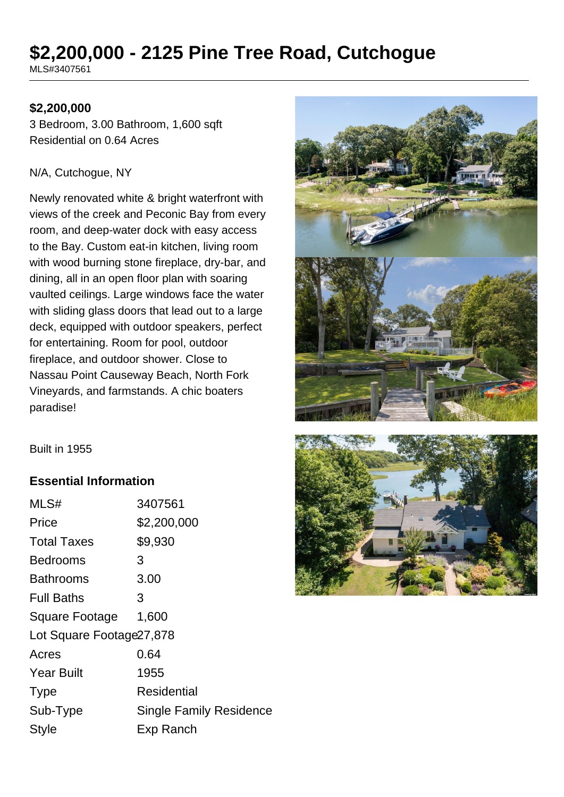# **\$2,200,000 - 2125 Pine Tree Road, Cutchogue**

MLS#3407561

#### **\$2,200,000**

3 Bedroom, 3.00 Bathroom, 1,600 sqft Residential on 0.64 Acres

#### N/A, Cutchogue, NY

Newly renovated white & bright waterfront with views of the creek and Peconic Bay from every room, and deep-water dock with easy access to the Bay. Custom eat-in kitchen, living room with wood burning stone fireplace, dry-bar, and dining, all in an open floor plan with soaring vaulted ceilings. Large windows face the water with sliding glass doors that lead out to a large deck, equipped with outdoor speakers, perfect for entertaining. Room for pool, outdoor fireplace, and outdoor shower. Close to Nassau Point Causeway Beach, North Fork Vineyards, and farmstands. A chic boaters paradise!



Built in 1955

#### **Essential Information**

| MLS#                      | 3407561                        |  |
|---------------------------|--------------------------------|--|
| Price                     | \$2,200,000                    |  |
| <b>Total Taxes</b>        | \$9,930                        |  |
| Bedrooms                  | 3                              |  |
| Bathrooms                 | 3.00                           |  |
| <b>Full Baths</b>         | 3                              |  |
| Square Footage            | 1,600                          |  |
| Lot Square Footage 27,878 |                                |  |
| Acres                     | 0.64                           |  |
| <b>Year Built</b>         | 1955                           |  |
| <b>Type</b>               | Residential                    |  |
| Sub-Type                  | <b>Single Family Residence</b> |  |
| <b>Style</b>              | Exp Ranch                      |  |
|                           |                                |  |

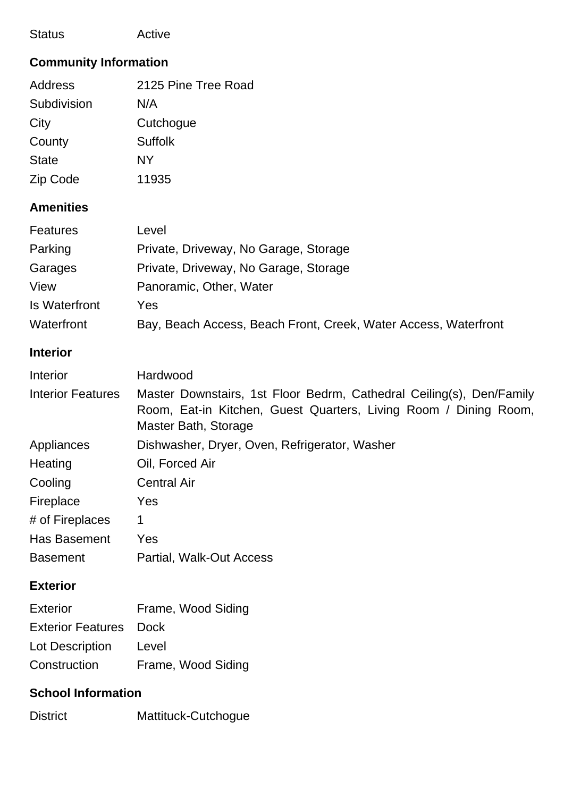| <b>Status</b>                | Active                                                                                                                                                           |  |  |
|------------------------------|------------------------------------------------------------------------------------------------------------------------------------------------------------------|--|--|
| <b>Community Information</b> |                                                                                                                                                                  |  |  |
| <b>Address</b>               | 2125 Pine Tree Road                                                                                                                                              |  |  |
| Subdivision                  | N/A                                                                                                                                                              |  |  |
| City                         | Cutchogue                                                                                                                                                        |  |  |
| County                       | <b>Suffolk</b>                                                                                                                                                   |  |  |
| <b>State</b>                 | <b>NY</b>                                                                                                                                                        |  |  |
| Zip Code                     | 11935                                                                                                                                                            |  |  |
| <b>Amenities</b>             |                                                                                                                                                                  |  |  |
| <b>Features</b>              | Level                                                                                                                                                            |  |  |
| Parking                      | Private, Driveway, No Garage, Storage                                                                                                                            |  |  |
| Garages                      | Private, Driveway, No Garage, Storage                                                                                                                            |  |  |
| View                         | Panoramic, Other, Water                                                                                                                                          |  |  |
| <b>Is Waterfront</b>         | Yes                                                                                                                                                              |  |  |
| Waterfront                   | Bay, Beach Access, Beach Front, Creek, Water Access, Waterfront                                                                                                  |  |  |
| <b>Interior</b>              |                                                                                                                                                                  |  |  |
| Interior                     | Hardwood                                                                                                                                                         |  |  |
| <b>Interior Features</b>     | Master Downstairs, 1st Floor Bedrm, Cathedral Ceiling(s), Den/Family<br>Room, Eat-in Kitchen, Guest Quarters, Living Room / Dining Room,<br>Master Bath, Storage |  |  |
| Appliances                   | Dishwasher, Dryer, Oven, Refrigerator, Washer                                                                                                                    |  |  |
| Heating                      | Oil, Forced Air                                                                                                                                                  |  |  |
| Cooling                      | <b>Central Air</b>                                                                                                                                               |  |  |
| Fireplace                    | Yes                                                                                                                                                              |  |  |
| # of Fireplaces              | 1                                                                                                                                                                |  |  |
| Has Basement                 | Yes                                                                                                                                                              |  |  |
| <b>Basement</b>              | Partial, Walk-Out Access                                                                                                                                         |  |  |
| <b>Exterior</b>              |                                                                                                                                                                  |  |  |

| <b>Exterior</b>               | Frame, Wood Siding |
|-------------------------------|--------------------|
| <b>Exterior Features</b> Dock |                    |
| Lot Description               | Level              |
| Construction                  | Frame, Wood Siding |

## **School Information**

| <b>District</b> | Mattituck-Cutchogue |
|-----------------|---------------------|
|                 |                     |